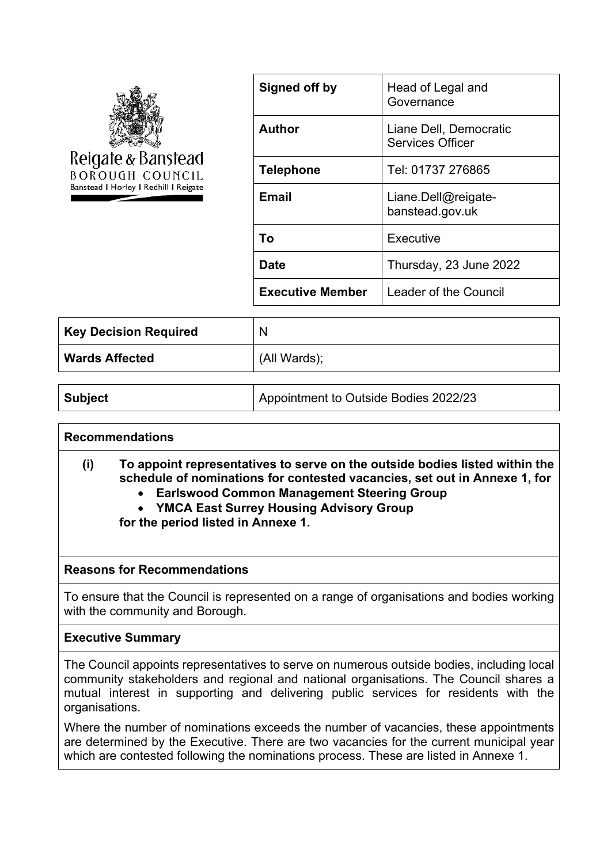|                                       | Si |
|---------------------------------------|----|
|                                       |    |
| Reigate & Banstead                    |    |
| BOROUGH COUNCIL                       | Te |
| Banstead I Horley I Redhill I Reigate | Er |
|                                       |    |
|                                       |    |

| Signed off by           | Head of Legal and<br>Governance                   |
|-------------------------|---------------------------------------------------|
| Author                  | Liane Dell, Democratic<br><b>Services Officer</b> |
| Telephone               | Tel: 01737 276865                                 |
| Email                   | Liane.Dell@reigate-<br>banstead.gov.uk            |
| To                      | Executive                                         |
| Date                    | Thursday, 23 June 2022                            |
| <b>Executive Member</b> | Leader of the Council                             |

| Key Decision Required | N            |
|-----------------------|--------------|
| <b>Wards Affected</b> | (All Wards); |

**Subject** Appointment to Outside Bodies 2022/23

## **Recommendations**

# **(i) To appoint representatives to serve on the outside bodies listed within the schedule of nominations for contested vacancies, set out in Annexe 1, for**

- **Earlswood Common Management Steering Group**
- **YMCA East Surrey Housing Advisory Group for the period listed in Annexe 1.**

## **Reasons for Recommendations**

To ensure that the Council is represented on a range of organisations and bodies working with the community and Borough.

## **Executive Summary**

The Council appoints representatives to serve on numerous outside bodies, including local community stakeholders and regional and national organisations. The Council shares a mutual interest in supporting and delivering public services for residents with the organisations.

Where the number of nominations exceeds the number of vacancies, these appointments are determined by the Executive. There are two vacancies for the current municipal year which are contested following the nominations process. These are listed in Annexe 1.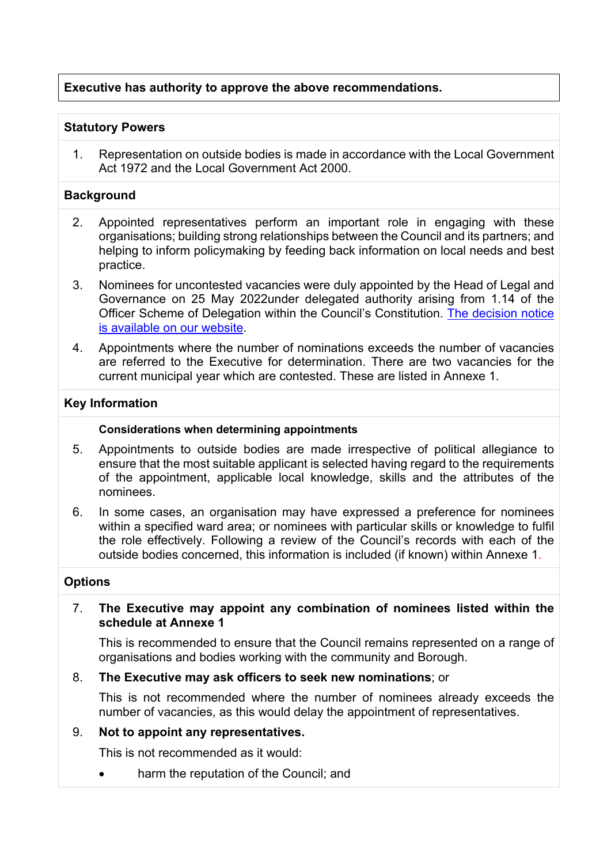# **Executive has authority to approve the above recommendations.**

## **Statutory Powers**

1. Representation on outside bodies is made in accordance with the Local Government Act 1972 and the Local Government Act 2000.

# **Background**

- 2. Appointed representatives perform an important role in engaging with these organisations; building strong relationships between the Council and its partners; and helping to inform policymaking by feeding back information on local needs and best practice.
- 3. Nominees for uncontested vacancies were duly appointed by the Head of Legal and Governance on 25 May 2022under delegated authority arising from 1.14 of the Officer Scheme of Delegation within the Council's Constitution. The [decision](https://reigate-banstead.moderngov.co.uk/ieDecisionDetails.aspx?ID=887) notice is [available](https://reigate-banstead.moderngov.co.uk/ieDecisionDetails.aspx?ID=887) on our website.
- 4. Appointments where the number of nominations exceeds the number of vacancies are referred to the Executive for determination. There are two vacancies for the current municipal year which are contested. These are listed in Annexe 1.

## **Key Information**

#### **Considerations when determining appointments**

- 5. Appointments to outside bodies are made irrespective of political allegiance to ensure that the most suitable applicant is selected having regard to the requirements of the appointment, applicable local knowledge, skills and the attributes of the nominees.
- 6. In some cases, an organisation may have expressed a preference for nominees within a specified ward area; or nominees with particular skills or knowledge to fulfil the role effectively. Following a review of the Council's records with each of the outside bodies concerned, this information is included (if known) within Annexe 1.

# **Options**

## 7. **The Executive may appoint any combination of nominees listed within the schedule at Annexe 1**

This is recommended to ensure that the Council remains represented on a range of organisations and bodies working with the community and Borough.

## 8. **The Executive may ask officers to seek new nominations**; or

This is not recommended where the number of nominees already exceeds the number of vacancies, as this would delay the appointment of representatives.

## 9. **Not to appoint any representatives.**

This is not recommended as it would:

harm the reputation of the Council; and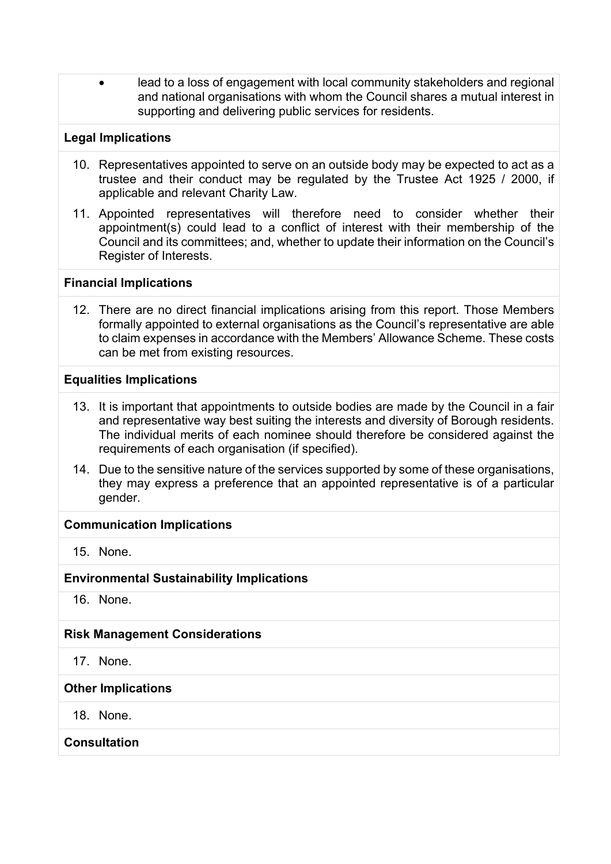lead to a loss of engagement with local community stakeholders and regional and national organisations with whom the Council shares a mutual interest in supporting and delivering public services for residents.

#### **Legal Implications**

- 10. Representatives appointed to serve on an outside body may be expected to act as a trustee and their conduct may be regulated by the Trustee Act 1925 / 2000, if applicable and relevant Charity Law.
- 11. Appointed representatives will therefore need to consider whether their appointment(s) could lead to a conflict of interest with their membership of the Council and its committees; and, whether to update their information on the Council's Register of Interests.

#### **Financial Implications**

12. There are no direct financial implications arising from this report. Those Members formally appointed to external organisations as the Council's representative are able to claim expenses in accordance with the Members' Allowance Scheme. These costs can be met from existing resources.

#### **Equalities Implications**

- 13. It is important that appointments to outside bodies are made by the Council in a fair and representative way best suiting the interests and diversity of Borough residents. The individual merits of each nominee should therefore be considered against the requirements of each organisation (if specified).
- 14. Due to the sensitive nature of the services supported by some of these organisations, they may express a preference that an appointed representative is of a particular gender.

#### **Communication Implications**

15. None.

#### **Environmental Sustainability Implications**

16. None.

## **Risk Management Considerations**

17. None.

#### **Other Implications**

18. None.

# **Consultation**